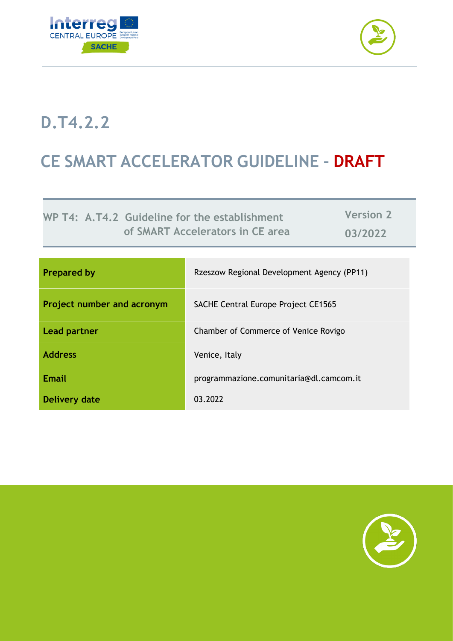



# **D.T4.2.2**

# **CE SMART ACCELERATOR GUIDELINE - DRAFT**

**WP T4: A.T4.2 Guideline for the establishment of SMART Accelerators in CE area**

**Version 2 03/2022**

| <b>Prepared by</b>         | Rzeszow Regional Development Agency (PP11) |
|----------------------------|--------------------------------------------|
| Project number and acronym | <b>SACHE Central Europe Project CE1565</b> |
| <b>Lead partner</b>        | Chamber of Commerce of Venice Rovigo       |
| <b>Address</b>             | Venice, Italy                              |
| <b>Email</b>               | programmazione.comunitaria@dl.camcom.it    |
| <b>Delivery date</b>       | 03.2022                                    |

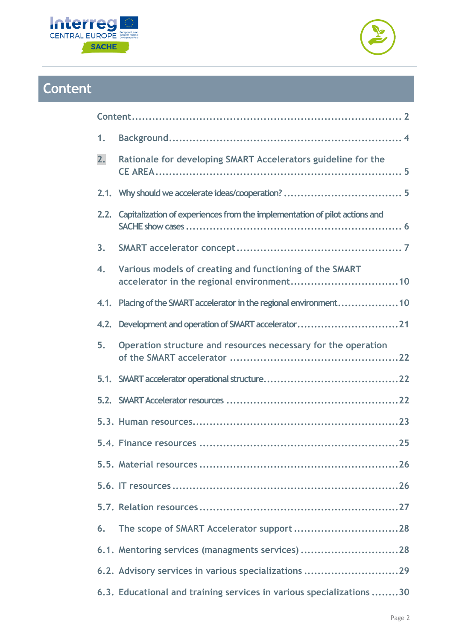



# <span id="page-1-0"></span>**Content**

| 1.   |                                                                                 |  |
|------|---------------------------------------------------------------------------------|--|
| 2.   | Rationale for developing SMART Accelerators guideline for the                   |  |
|      |                                                                                 |  |
|      | 2.2. Capitalization of experiences from the implementation of pilot actions and |  |
| 3.   |                                                                                 |  |
| 4.   | Various models of creating and functioning of the SMART                         |  |
| 4.1. | Placing of the SMART accelerator in the regional environment 10                 |  |
| 4.2. | Development and operation of SMART accelerator21                                |  |
| 5.   | Operation structure and resources necessary for the operation                   |  |
|      |                                                                                 |  |
|      |                                                                                 |  |
|      |                                                                                 |  |
|      |                                                                                 |  |
|      |                                                                                 |  |
|      |                                                                                 |  |
|      |                                                                                 |  |
| 6.   |                                                                                 |  |
|      | 6.1. Mentoring services (managments services) 28                                |  |
|      | 6.2. Advisory services in various specializations 29                            |  |
|      | 6.3. Educational and training services in various specializations 30            |  |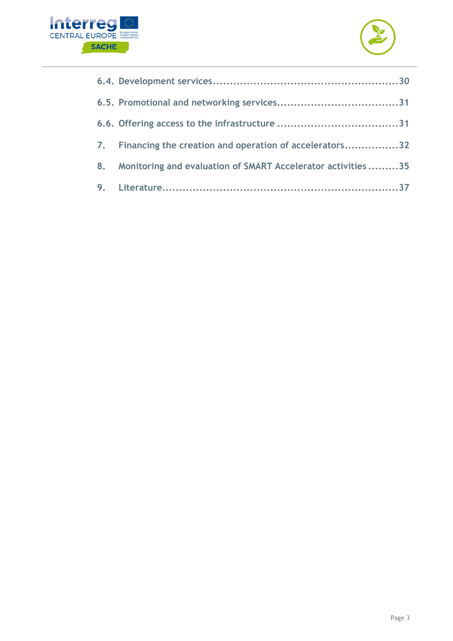



| 7. | Financing the creation and operation of accelerators32       |
|----|--------------------------------------------------------------|
| 8. | Monitoring and evaluation of SMART Accelerator activities 35 |
|    |                                                              |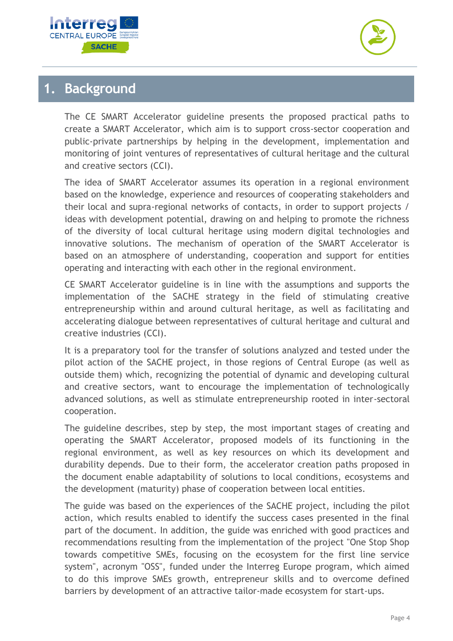



### <span id="page-3-0"></span>**1. Background**

The CE SMART Accelerator guideline presents the proposed practical paths to create a SMART Accelerator, which aim is to support cross-sector cooperation and public-private partnerships by helping in the development, implementation and monitoring of joint ventures of representatives of cultural heritage and the cultural and creative sectors (CCI).

The idea of SMART Accelerator assumes its operation in a regional environment based on the knowledge, experience and resources of cooperating stakeholders and their local and supra-regional networks of contacts, in order to support projects / ideas with development potential, drawing on and helping to promote the richness of the diversity of local cultural heritage using modern digital technologies and innovative solutions. The mechanism of operation of the SMART Accelerator is based on an atmosphere of understanding, cooperation and support for entities operating and interacting with each other in the regional environment.

CE SMART Accelerator guideline is in line with the assumptions and supports the implementation of the SACHE strategy in the field of stimulating creative entrepreneurship within and around cultural heritage, as well as facilitating and accelerating dialogue between representatives of cultural heritage and cultural and creative industries (CCI).

It is a preparatory tool for the transfer of solutions analyzed and tested under the pilot action of the SACHE project, in those regions of Central Europe (as well as outside them) which, recognizing the potential of dynamic and developing cultural and creative sectors, want to encourage the implementation of technologically advanced solutions, as well as stimulate entrepreneurship rooted in inter-sectoral cooperation.

The guideline describes, step by step, the most important stages of creating and operating the SMART Accelerator, proposed models of its functioning in the regional environment, as well as key resources on which its development and durability depends. Due to their form, the accelerator creation paths proposed in the document enable adaptability of solutions to local conditions, ecosystems and the development (maturity) phase of cooperation between local entities.

The guide was based on the experiences of the SACHE project, including the pilot action, which results enabled to identify the success cases presented in the final part of the document. In addition, the guide was enriched with good practices and recommendations resulting from the implementation of the project "One Stop Shop towards competitive SMEs, focusing on the ecosystem for the first line service system", acronym "OSS", funded under the Interreg Europe program, which aimed to do this improve SMEs growth, entrepreneur skills and to overcome defined barriers by development of an attractive tailor-made ecosystem for start-ups.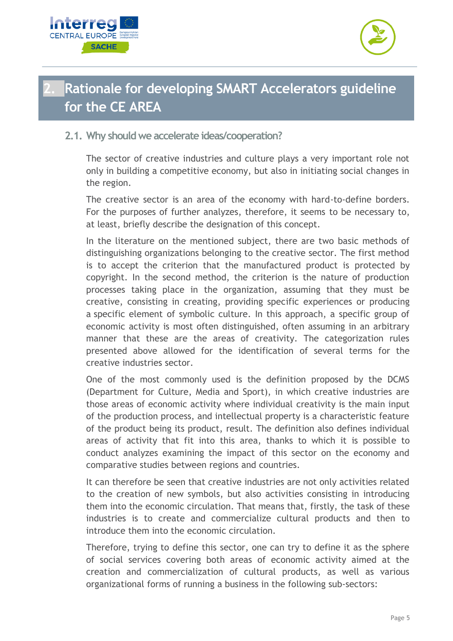



## <span id="page-4-0"></span>**2. Rationale for developing SMART Accelerators guideline for the CE AREA**

#### <span id="page-4-1"></span>**2.1. Why should we accelerate ideas/cooperation?**

The sector of creative industries and culture plays a very important role not only in building a competitive economy, but also in initiating social changes in the region.

The creative sector is an area of the economy with hard-to-define borders. For the purposes of further analyzes, therefore, it seems to be necessary to, at least, briefly describe the designation of this concept.

In the literature on the mentioned subject, there are two basic methods of distinguishing organizations belonging to the creative sector. The first method is to accept the criterion that the manufactured product is protected by copyright. In the second method, the criterion is the nature of production processes taking place in the organization, assuming that they must be creative, consisting in creating, providing specific experiences or producing a specific element of symbolic culture. In this approach, a specific group of economic activity is most often distinguished, often assuming in an arbitrary manner that these are the areas of creativity. The categorization rules presented above allowed for the identification of several terms for the creative industries sector.

One of the most commonly used is the definition proposed by the DCMS (Department for Culture, Media and Sport), in which creative industries are those areas of economic activity where individual creativity is the main input of the production process, and intellectual property is a characteristic feature of the product being its product, result. The definition also defines individual areas of activity that fit into this area, thanks to which it is possible to conduct analyzes examining the impact of this sector on the economy and comparative studies between regions and countries.

It can therefore be seen that creative industries are not only activities related to the creation of new symbols, but also activities consisting in introducing them into the economic circulation. That means that, firstly, the task of these industries is to create and commercialize cultural products and then to introduce them into the economic circulation.

Therefore, trying to define this sector, one can try to define it as the sphere of social services covering both areas of economic activity aimed at the creation and commercialization of cultural products, as well as various organizational forms of running a business in the following sub-sectors: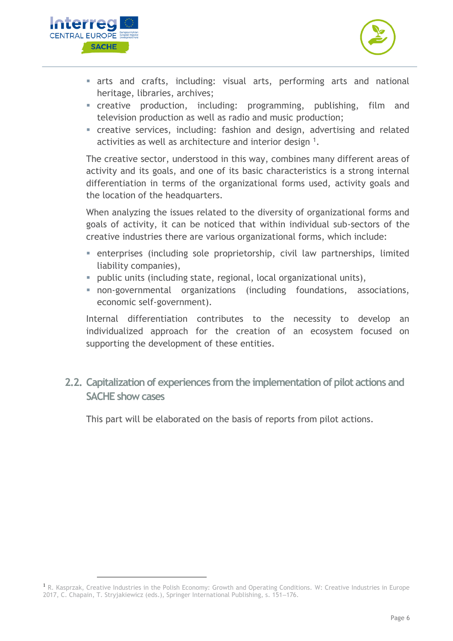



- **Exercise and crafts, including: visual arts, performing arts and national** heritage, libraries, archives;
- **Exercise example creative** production, including: programming, publishing, film and television production as well as radio and music production;
- **EXECT** creative services, including: fashion and design, advertising and related activities as well as architecture and interior design  $1$ .

The creative sector, understood in this way, combines many different areas of activity and its goals, and one of its basic characteristics is a strong internal differentiation in terms of the organizational forms used, activity goals and the location of the headquarters.

When analyzing the issues related to the diversity of organizational forms and goals of activity, it can be noticed that within individual sub-sectors of the creative industries there are various organizational forms, which include:

- **EX enterprises (including sole proprietorship, civil law partnerships, limited** liability companies),
- public units (including state, regional, local organizational units),
- non-governmental organizations (including foundations, associations, economic self-government).

Internal differentiation contributes to the necessity to develop an individualized approach for the creation of an ecosystem focused on supporting the development of these entities.

<span id="page-5-0"></span>**2.2. Capitalization of experiences from the implementation of pilot actions and SACHE show cases**

This part will be elaborated on the basis of reports from pilot actions.

<sup>&</sup>lt;sup>1</sup> R. Kasprzak, Creative Industries in the Polish Economy: Growth and Operating Conditions. W: Creative Industries in Europe 2017, C. Chapain, T. Stryjakiewicz (eds.), Springer International Publishing, s. 151-176.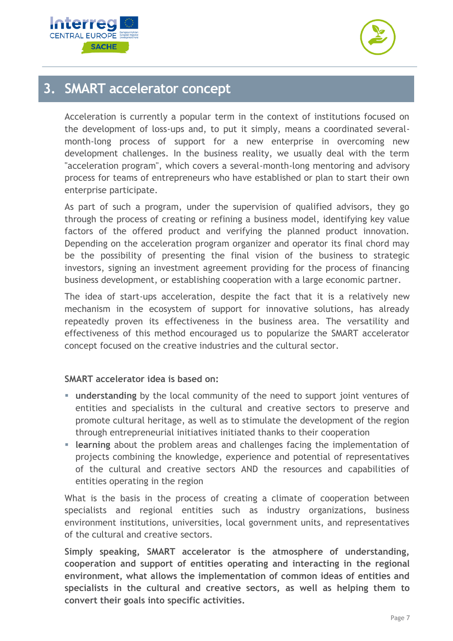



### <span id="page-6-0"></span>**3. SMART accelerator concept**

Acceleration is currently a popular term in the context of institutions focused on the development of loss-ups and, to put it simply, means a coordinated severalmonth-long process of support for a new enterprise in overcoming new development challenges. In the business reality, we usually deal with the term "acceleration program", which covers a several-month-long mentoring and advisory process for teams of entrepreneurs who have established or plan to start their own enterprise participate.

As part of such a program, under the supervision of qualified advisors, they go through the process of creating or refining a business model, identifying key value factors of the offered product and verifying the planned product innovation. Depending on the acceleration program organizer and operator its final chord may be the possibility of presenting the final vision of the business to strategic investors, signing an investment agreement providing for the process of financing business development, or establishing cooperation with a large economic partner.

The idea of start-ups acceleration, despite the fact that it is a relatively new mechanism in the ecosystem of support for innovative solutions, has already repeatedly proven its effectiveness in the business area. The versatility and effectiveness of this method encouraged us to popularize the SMART accelerator concept focused on the creative industries and the cultural sector.

#### **SMART accelerator idea is based on:**

- **understanding** by the local community of the need to support joint ventures of entities and specialists in the cultural and creative sectors to preserve and promote cultural heritage, as well as to stimulate the development of the region through entrepreneurial initiatives initiated thanks to their cooperation
- **Example 1 learning** about the problem areas and challenges facing the implementation of projects combining the knowledge, experience and potential of representatives of the cultural and creative sectors AND the resources and capabilities of entities operating in the region

What is the basis in the process of creating a climate of cooperation between specialists and regional entities such as industry organizations, business environment institutions, universities, local government units, and representatives of the cultural and creative sectors.

**Simply speaking, SMART accelerator is the atmosphere of understanding, cooperation and support of entities operating and interacting in the regional environment, what allows the implementation of common ideas of entities and specialists in the cultural and creative sectors, as well as helping them to convert their goals into specific activities.**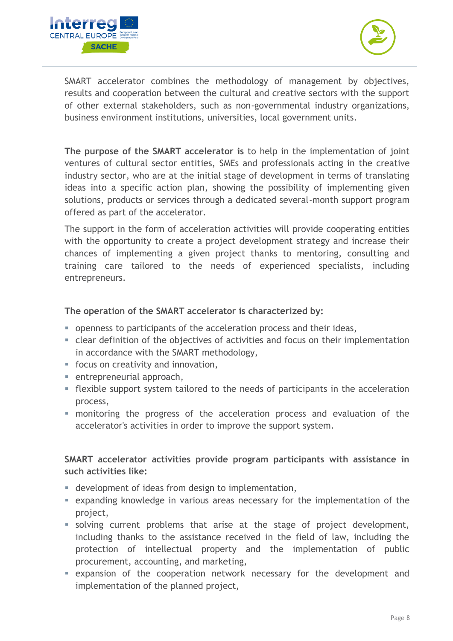



SMART accelerator combines the methodology of management by objectives, results and cooperation between the cultural and creative sectors with the support of other external stakeholders, such as non-governmental industry organizations, business environment institutions, universities, local government units.

**The purpose of the SMART accelerator is** to help in the implementation of joint ventures of cultural sector entities, SMEs and professionals acting in the creative industry sector, who are at the initial stage of development in terms of translating ideas into a specific action plan, showing the possibility of implementing given solutions, products or services through a dedicated several-month support program offered as part of the accelerator.

The support in the form of acceleration activities will provide cooperating entities with the opportunity to create a project development strategy and increase their chances of implementing a given project thanks to mentoring, consulting and training care tailored to the needs of experienced specialists, including entrepreneurs.

#### **The operation of the SMART accelerator is characterized by:**

- openness to participants of the acceleration process and their ideas,
- clear definition of the objectives of activities and focus on their implementation in accordance with the SMART methodology,
- focus on creativity and innovation,
- entrepreneurial approach,
- **EXECT** flexible support system tailored to the needs of participants in the acceleration process,
- **•** monitoring the progress of the acceleration process and evaluation of the accelerator's activities in order to improve the support system.

#### **SMART accelerator activities provide program participants with assistance in such activities like:**

- development of ideas from design to implementation,
- **EXPANDING** expanding knowledge in various areas necessary for the implementation of the project,
- solving current problems that arise at the stage of project development, including thanks to the assistance received in the field of law, including the protection of intellectual property and the implementation of public procurement, accounting, and marketing,
- expansion of the cooperation network necessary for the development and implementation of the planned project,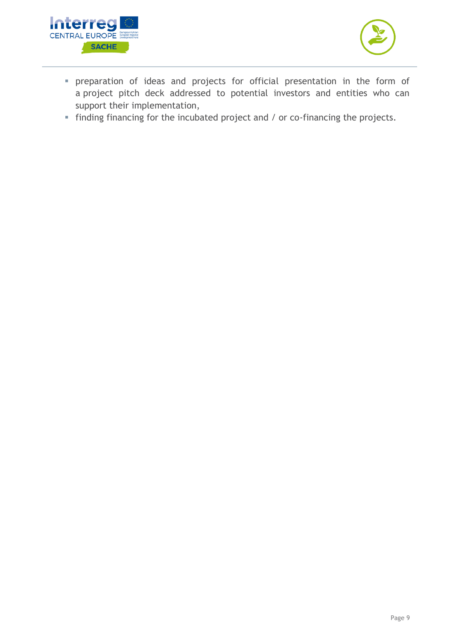



- preparation of ideas and projects for official presentation in the form of a project pitch deck addressed to potential investors and entities who can support their implementation,
- finding financing for the incubated project and / or co-financing the projects.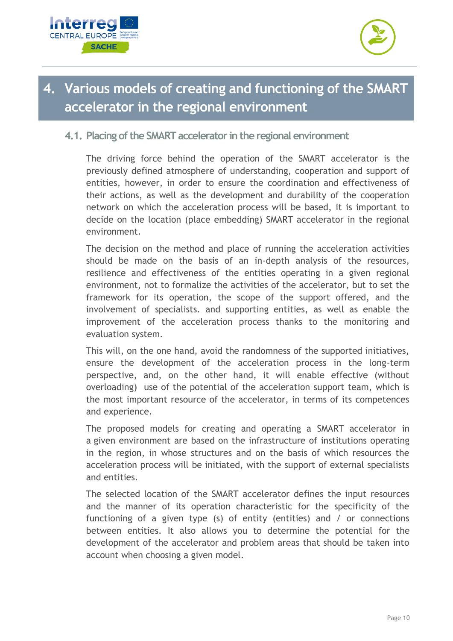



## <span id="page-9-0"></span>**4. Various models of creating and functioning of the SMART accelerator in the regional environment**

#### <span id="page-9-1"></span>**4.1. Placing of the SMART accelerator in the regional environment**

The driving force behind the operation of the SMART accelerator is the previously defined atmosphere of understanding, cooperation and support of entities, however, in order to ensure the coordination and effectiveness of their actions, as well as the development and durability of the cooperation network on which the acceleration process will be based, it is important to decide on the location (place embedding) SMART accelerator in the regional environment.

The decision on the method and place of running the acceleration activities should be made on the basis of an in-depth analysis of the resources, resilience and effectiveness of the entities operating in a given regional environment, not to formalize the activities of the accelerator, but to set the framework for its operation, the scope of the support offered, and the involvement of specialists. and supporting entities, as well as enable the improvement of the acceleration process thanks to the monitoring and evaluation system.

This will, on the one hand, avoid the randomness of the supported initiatives, ensure the development of the acceleration process in the long-term perspective, and, on the other hand, it will enable effective (without overloading) use of the potential of the acceleration support team, which is the most important resource of the accelerator, in terms of its competences and experience.

The proposed models for creating and operating a SMART accelerator in a given environment are based on the infrastructure of institutions operating in the region, in whose structures and on the basis of which resources the acceleration process will be initiated, with the support of external specialists and entities.

The selected location of the SMART accelerator defines the input resources and the manner of its operation characteristic for the specificity of the functioning of a given type (s) of entity (entities) and / or connections between entities. It also allows you to determine the potential for the development of the accelerator and problem areas that should be taken into account when choosing a given model.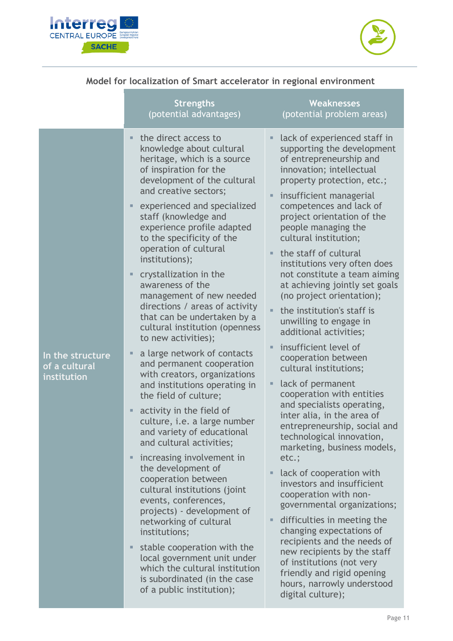



### **Model for localization of Smart accelerator in regional environment**

|                                                  | <b>Strengths</b><br>(potential advantages)                                                                                                                                                                                                                                                                                                                                                                                                                                                                                                                                                                                                                                                                                                                                                                                                                                                                                                                                                                                                                                                                                                                                                                           | <b>Weaknesses</b><br>(potential problem areas)                                                                                                                                                                                                                                                                                                                                                                                                                                                                                                                                                                                                                                                                                                                                                                                                                                                                                                                                                                                                                                                                                                                                                          |
|--------------------------------------------------|----------------------------------------------------------------------------------------------------------------------------------------------------------------------------------------------------------------------------------------------------------------------------------------------------------------------------------------------------------------------------------------------------------------------------------------------------------------------------------------------------------------------------------------------------------------------------------------------------------------------------------------------------------------------------------------------------------------------------------------------------------------------------------------------------------------------------------------------------------------------------------------------------------------------------------------------------------------------------------------------------------------------------------------------------------------------------------------------------------------------------------------------------------------------------------------------------------------------|---------------------------------------------------------------------------------------------------------------------------------------------------------------------------------------------------------------------------------------------------------------------------------------------------------------------------------------------------------------------------------------------------------------------------------------------------------------------------------------------------------------------------------------------------------------------------------------------------------------------------------------------------------------------------------------------------------------------------------------------------------------------------------------------------------------------------------------------------------------------------------------------------------------------------------------------------------------------------------------------------------------------------------------------------------------------------------------------------------------------------------------------------------------------------------------------------------|
| In the structure<br>of a cultural<br>institution | the direct access to<br>п<br>knowledge about cultural<br>heritage, which is a source<br>of inspiration for the<br>development of the cultural<br>and creative sectors;<br>experienced and specialized<br>staff (knowledge and<br>experience profile adapted<br>to the specificity of the<br>operation of cultural<br>institutions);<br>crystallization in the<br>п<br>awareness of the<br>management of new needed<br>directions / areas of activity<br>that can be undertaken by a<br>cultural institution (openness<br>to new activities);<br>a large network of contacts<br>п<br>and permanent cooperation<br>with creators, organizations<br>and institutions operating in<br>the field of culture;<br>activity in the field of<br>п<br>culture, i.e. a large number<br>and variety of educational<br>and cultural activities;<br>increasing involvement in<br>ш<br>the development of<br>cooperation between<br>cultural institutions (joint<br>events, conferences,<br>projects) - development of<br>networking of cultural<br>institutions;<br>stable cooperation with the<br>٠<br>local government unit under<br>which the cultural institution<br>is subordinated (in the case<br>of a public institution); | lack of experienced staff in<br>ш<br>supporting the development<br>of entrepreneurship and<br>innovation; intellectual<br>property protection, etc.;<br>insufficient managerial<br>ш<br>competences and lack of<br>project orientation of the<br>people managing the<br>cultural institution;<br>the staff of cultural<br>institutions very often does<br>not constitute a team aiming<br>at achieving jointly set goals<br>(no project orientation);<br>the institution's staff is<br>unwilling to engage in<br>additional activities;<br>insufficient level of<br>cooperation between<br>cultural institutions;<br>lack of permanent<br>cooperation with entities<br>and specialists operating,<br>inter alia, in the area of<br>entrepreneurship, social and<br>technological innovation,<br>marketing, business models,<br>etc.;<br>lack of cooperation with<br>ш<br>investors and insufficient<br>cooperation with non-<br>governmental organizations;<br>difficulties in meeting the<br>٠<br>changing expectations of<br>recipients and the needs of<br>new recipients by the staff<br>of institutions (not very<br>friendly and rigid opening<br>hours, narrowly understood<br>digital culture); |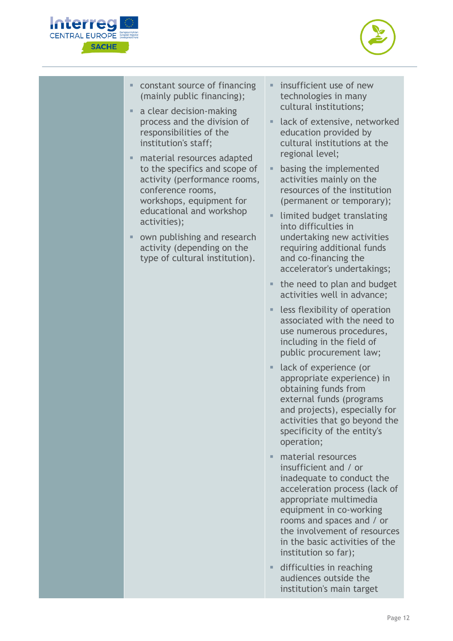



- constant source of financing (mainly public financing);
- a clear decision-making process and the division of responsibilities of the institution's staff;
- material resources adapted to the specifics and scope of activity (performance rooms, conference rooms, workshops, equipment for educational and workshop activities);
- own publishing and research activity (depending on the type of cultural institution).
- $\blacksquare$  insufficient use of new technologies in many cultural institutions;
- lack of extensive, networked education provided by cultural institutions at the regional level;
- **E** basing the implemented activities mainly on the resources of the institution (permanent or temporary);
- **E** limited budget translating into difficulties in undertaking new activities requiring additional funds and co-financing the accelerator's undertakings;
- the need to plan and budget activities well in advance;
- less flexibility of operation associated with the need to use numerous procedures, including in the field of public procurement law;
- lack of experience (or appropriate experience) in obtaining funds from external funds (programs and projects), especially for activities that go beyond the specificity of the entity's operation;
- material resources insufficient and / or inadequate to conduct the acceleration process (lack of appropriate multimedia equipment in co-working rooms and spaces and / or the involvement of resources in the basic activities of the institution so far);
- **■** difficulties in reaching audiences outside the institution's main target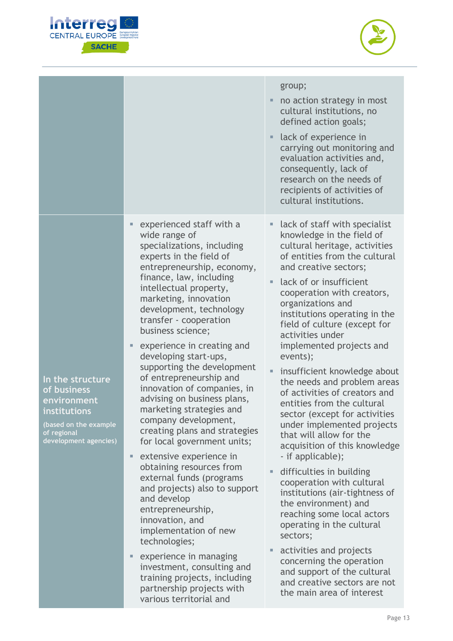



|                                                                                                                                 |                                                                                                                                                                                                                                                                                                                                                                                                                                                                                                                                                                                                                                                                                                                                                                                                                                                                                                                                                                 | group;<br>no action strategy in most<br>cultural institutions, no<br>defined action goals;<br>lack of experience in<br>ш<br>carrying out monitoring and<br>evaluation activities and,<br>consequently, lack of<br>research on the needs of<br>recipients of activities of<br>cultural institutions.                                                                                                                                                                                                                                                                                                                                                                                                                                                                                                                                                                                                                                                                                              |
|---------------------------------------------------------------------------------------------------------------------------------|-----------------------------------------------------------------------------------------------------------------------------------------------------------------------------------------------------------------------------------------------------------------------------------------------------------------------------------------------------------------------------------------------------------------------------------------------------------------------------------------------------------------------------------------------------------------------------------------------------------------------------------------------------------------------------------------------------------------------------------------------------------------------------------------------------------------------------------------------------------------------------------------------------------------------------------------------------------------|--------------------------------------------------------------------------------------------------------------------------------------------------------------------------------------------------------------------------------------------------------------------------------------------------------------------------------------------------------------------------------------------------------------------------------------------------------------------------------------------------------------------------------------------------------------------------------------------------------------------------------------------------------------------------------------------------------------------------------------------------------------------------------------------------------------------------------------------------------------------------------------------------------------------------------------------------------------------------------------------------|
| In the structure<br>of business<br>environment<br>institutions<br>(based on the example<br>of regional<br>development agencies) | experienced staff with a<br>wide range of<br>specializations, including<br>experts in the field of<br>entrepreneurship, economy,<br>finance, law, including<br>intellectual property,<br>marketing, innovation<br>development, technology<br>transfer - cooperation<br>business science;<br>experience in creating and<br>developing start-ups,<br>supporting the development<br>of entrepreneurship and<br>innovation of companies, in<br>advising on business plans,<br>marketing strategies and<br>company development,<br>creating plans and strategies<br>for local government units;<br>extensive experience in<br>obtaining resources from<br>external funds (programs<br>and projects) also to support<br>and develop<br>entrepreneurship,<br>innovation, and<br>implementation of new<br>technologies;<br>experience in managing<br>investment, consulting and<br>training projects, including<br>partnership projects with<br>various territorial and | lack of staff with specialist<br>knowledge in the field of<br>cultural heritage, activities<br>of entities from the cultural<br>and creative sectors;<br>lack of or insufficient<br>٠<br>cooperation with creators,<br>organizations and<br>institutions operating in the<br>field of culture (except for<br>activities under<br>implemented projects and<br>events);<br>insufficient knowledge about<br>the needs and problem areas<br>of activities of creators and<br>entities from the cultural<br>sector (except for activities<br>under implemented projects<br>that will allow for the<br>acquisition of this knowledge<br>- if applicable);<br>difficulties in building<br>cooperation with cultural<br>institutions (air-tightness of<br>the environment) and<br>reaching some local actors<br>operating in the cultural<br>sectors;<br>activities and projects<br>concerning the operation<br>and support of the cultural<br>and creative sectors are not<br>the main area of interest |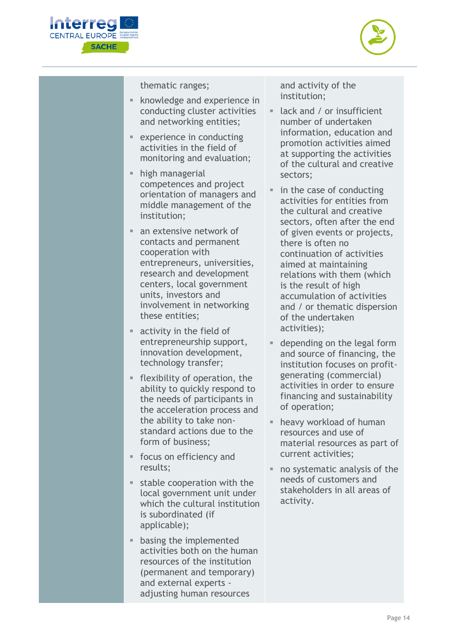



thematic ranges;

- knowledge and experience in conducting cluster activities and networking entities;
- experience in conducting activities in the field of monitoring and evaluation;
- **■** high managerial competences and project orientation of managers and middle management of the institution;
- an extensive network of contacts and permanent cooperation with entrepreneurs, universities, research and development centers, local government units, investors and involvement in networking these entities;
- activity in the field of entrepreneurship support, innovation development, technology transfer;
- **EXIMILE 1** flexibility of operation, the ability to quickly respond to the needs of participants in the acceleration process and the ability to take nonstandard actions due to the form of business;
- focus on efficiency and results;
- $\blacksquare$  stable cooperation with the local government unit under which the cultural institution is subordinated (if applicable);
- **■** basing the implemented activities both on the human resources of the institution (permanent and temporary) and external experts adjusting human resources

and activity of the institution;

- lack and / or insufficient number of undertaken information, education and promotion activities aimed at supporting the activities of the cultural and creative sectors;
- in the case of conducting activities for entities from the cultural and creative sectors, often after the end of given events or projects, there is often no continuation of activities aimed at maintaining relations with them (which is the result of high accumulation of activities and / or thematic dispersion of the undertaken activities);
- depending on the legal form and source of financing, the institution focuses on profitgenerating (commercial) activities in order to ensure financing and sustainability of operation;
- heavy workload of human resources and use of material resources as part of current activities;
- no systematic analysis of the needs of customers and stakeholders in all areas of activity.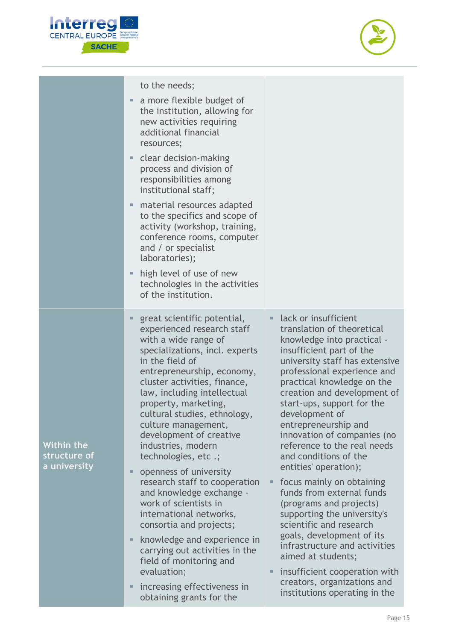



|                                            | to the needs;                                                                                                                                                                                                                                                                                                                                                                                                                                                                                                                                                                                              |                                                                                                                                                                                                                                                                                                                                                                                                                                                                                                                                                                                                                                                      |
|--------------------------------------------|------------------------------------------------------------------------------------------------------------------------------------------------------------------------------------------------------------------------------------------------------------------------------------------------------------------------------------------------------------------------------------------------------------------------------------------------------------------------------------------------------------------------------------------------------------------------------------------------------------|------------------------------------------------------------------------------------------------------------------------------------------------------------------------------------------------------------------------------------------------------------------------------------------------------------------------------------------------------------------------------------------------------------------------------------------------------------------------------------------------------------------------------------------------------------------------------------------------------------------------------------------------------|
|                                            | a more flexible budget of<br>the institution, allowing for<br>new activities requiring<br>additional financial<br>resources;                                                                                                                                                                                                                                                                                                                                                                                                                                                                               |                                                                                                                                                                                                                                                                                                                                                                                                                                                                                                                                                                                                                                                      |
|                                            | clear decision-making<br>ш<br>process and division of<br>responsibilities among<br>institutional staff;                                                                                                                                                                                                                                                                                                                                                                                                                                                                                                    |                                                                                                                                                                                                                                                                                                                                                                                                                                                                                                                                                                                                                                                      |
|                                            | material resources adapted<br>to the specifics and scope of<br>activity (workshop, training,<br>conference rooms, computer<br>and / or specialist<br>laboratories);                                                                                                                                                                                                                                                                                                                                                                                                                                        |                                                                                                                                                                                                                                                                                                                                                                                                                                                                                                                                                                                                                                                      |
|                                            | high level of use of new<br>technologies in the activities<br>of the institution.                                                                                                                                                                                                                                                                                                                                                                                                                                                                                                                          |                                                                                                                                                                                                                                                                                                                                                                                                                                                                                                                                                                                                                                                      |
| Within the<br>structure of<br>a university | great scientific potential,<br>experienced research staff<br>with a wide range of<br>specializations, incl. experts<br>in the field of<br>entrepreneurship, economy,<br>cluster activities, finance,<br>law, including intellectual<br>property, marketing,<br>cultural studies, ethnology,<br>culture management,<br>development of creative<br>industries, modern<br>technologies, etc .;<br>openness of university<br>ш<br>research staff to cooperation<br>and knowledge exchange -<br>work of scientists in<br>international networks,<br>consortia and projects;<br>knowledge and experience in<br>ш | lack or insufficient<br>translation of theoretical<br>knowledge into practical -<br>insufficient part of the<br>university staff has extensive<br>professional experience and<br>practical knowledge on the<br>creation and development of<br>start-ups, support for the<br>development of<br>entrepreneurship and<br>innovation of companies (no<br>reference to the real needs<br>and conditions of the<br>entities' operation);<br>focus mainly on obtaining<br>ш<br>funds from external funds<br>(programs and projects)<br>supporting the university's<br>scientific and research<br>goals, development of its<br>infrastructure and activities |
|                                            | carrying out activities in the<br>field of monitoring and<br>evaluation;                                                                                                                                                                                                                                                                                                                                                                                                                                                                                                                                   | aimed at students;<br>insufficient cooperation with<br>ш                                                                                                                                                                                                                                                                                                                                                                                                                                                                                                                                                                                             |
|                                            | increasing effectiveness in<br>Ξ<br>obtaining grants for the                                                                                                                                                                                                                                                                                                                                                                                                                                                                                                                                               | creators, organizations and<br>institutions operating in the                                                                                                                                                                                                                                                                                                                                                                                                                                                                                                                                                                                         |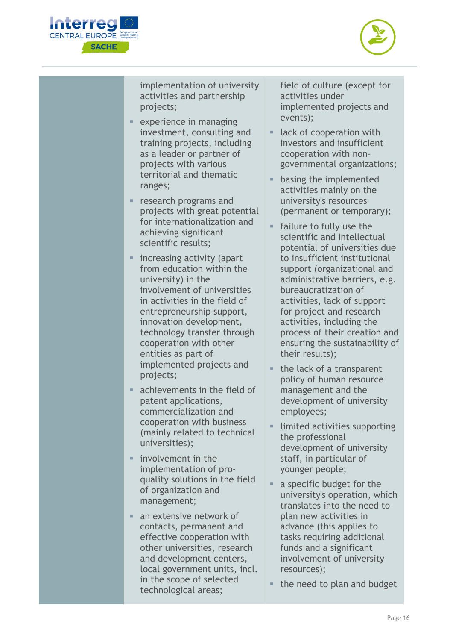



implementation of university activities and partnership projects;

- experience in managing investment, consulting and training projects, including as a leader or partner of projects with various territorial and thematic ranges;
- **•** research programs and projects with great potential for internationalization and achieving significant scientific results;
- increasing activity (apart from education within the university) in the involvement of universities in activities in the field of entrepreneurship support, innovation development, technology transfer through cooperation with other entities as part of implemented projects and projects;
- achievements in the field of patent applications, commercialization and cooperation with business (mainly related to technical universities);
- involvement in the implementation of proquality solutions in the field of organization and management;
- an extensive network of contacts, permanent and effective cooperation with other universities, research and development centers, local government units, incl. in the scope of selected technological areas;

field of culture (except for activities under implemented projects and events);

- lack of cooperation with investors and insufficient cooperation with nongovernmental organizations;
- **basing the implemented** activities mainly on the university's resources (permanent or temporary);
- failure to fully use the scientific and intellectual potential of universities due to insufficient institutional support (organizational and administrative barriers, e.g. bureaucratization of activities, lack of support for project and research activities, including the process of their creation and ensuring the sustainability of their results);
- the lack of a transparent policy of human resource management and the development of university employees;
- **I** limited activities supporting the professional development of university staff, in particular of younger people;
- a specific budget for the university's operation, which translates into the need to plan new activities in advance (this applies to tasks requiring additional funds and a significant involvement of university resources);
- the need to plan and budget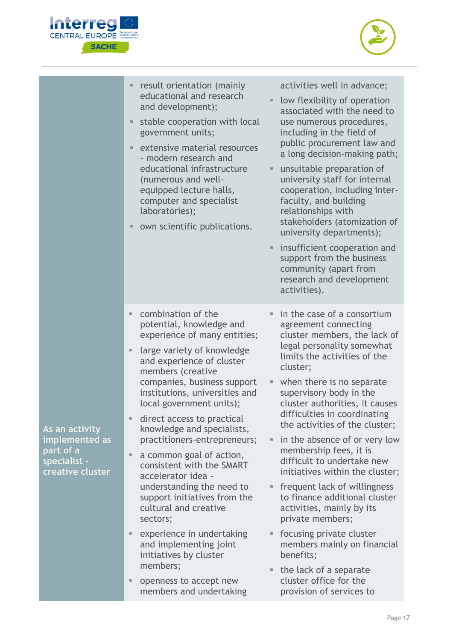



|                                                                                   | result orientation (mainly<br>educational and research<br>and development);<br>stable cooperation with local<br>government units;<br>extensive material resources<br>- modern research and<br>educational infrastructure<br>(numerous and well-<br>equipped lecture halls,<br>computer and specialist<br>laboratories);<br>own scientific publications.                                                                                                                                                                                                                                                                                                                                                             | activities well in advance;<br>low flexibility of operation<br>associated with the need to<br>use numerous procedures,<br>including in the field of<br>public procurement law and<br>a long decision-making path;<br>unsuitable preparation of<br>university staff for internal<br>cooperation, including inter-<br>faculty, and building<br>relationships with<br>stakeholders (atomization of<br>university departments);<br>insufficient cooperation and<br>support from the business<br>community (apart from<br>research and development<br>activities).                                                                                                                                                                                  |
|-----------------------------------------------------------------------------------|---------------------------------------------------------------------------------------------------------------------------------------------------------------------------------------------------------------------------------------------------------------------------------------------------------------------------------------------------------------------------------------------------------------------------------------------------------------------------------------------------------------------------------------------------------------------------------------------------------------------------------------------------------------------------------------------------------------------|------------------------------------------------------------------------------------------------------------------------------------------------------------------------------------------------------------------------------------------------------------------------------------------------------------------------------------------------------------------------------------------------------------------------------------------------------------------------------------------------------------------------------------------------------------------------------------------------------------------------------------------------------------------------------------------------------------------------------------------------|
| As an activity<br>implemented as<br>part of a<br>specialist -<br>creative cluster | combination of the<br>ш<br>potential, knowledge and<br>experience of many entities;<br>large variety of knowledge<br>ш<br>and experience of cluster<br>members (creative<br>companies, business support<br>institutions, universities and<br>local government units);<br>direct access to practical<br>knowledge and specialists,<br>practitioners-entrepreneurs;<br>a common goal of action,<br>Ξ<br>consistent with the SMART<br>accelerator idea -<br>understanding the need to<br>support initiatives from the<br>cultural and creative<br>sectors;<br>experience in undertaking<br>ш<br>and implementing joint<br>initiatives by cluster<br>members;<br>openness to accept new<br>Е<br>members and undertaking | in the case of a consortium<br>agreement connecting<br>cluster members, the lack of<br>legal personality somewhat<br>limits the activities of the<br>cluster;<br>when there is no separate<br>supervisory body in the<br>cluster authorities, it causes<br>difficulties in coordinating<br>the activities of the cluster;<br>in the absence of or very low<br>Ξ<br>membership fees, it is<br>difficult to undertake new<br>initiatives within the cluster;<br>frequent lack of willingness<br>Е<br>to finance additional cluster<br>activities, mainly by its<br>private members;<br>focusing private cluster<br>members mainly on financial<br>benefits;<br>the lack of a separate<br>Ξ<br>cluster office for the<br>provision of services to |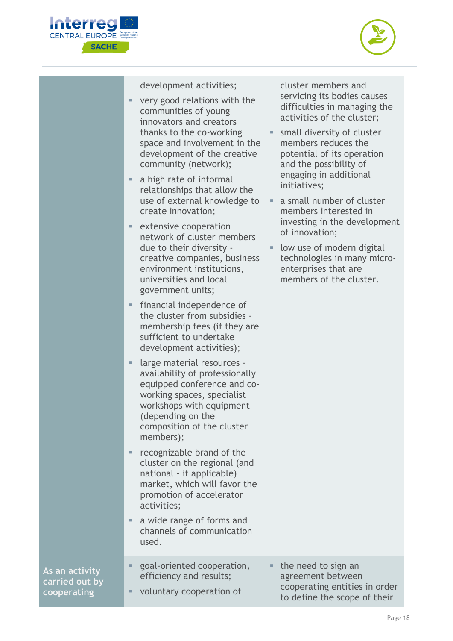



development activities;

- very good relations with the communities of young innovators and creators thanks to the co-working space and involvement in the development of the creative community (network);
- a high rate of informal relationships that allow the use of external knowledge to create innovation;
- extensive cooperation network of cluster members due to their diversity creative companies, business environment institutions, universities and local government units;
- **■** financial independence of the cluster from subsidies membership fees (if they are sufficient to undertake development activities);
- large material resources availability of professionally equipped conference and coworking spaces, specialist workshops with equipment (depending on the composition of the cluster members);
- recognizable brand of the cluster on the regional (and national - if applicable) market, which will favor the promotion of accelerator activities;
- a wide range of forms and channels of communication used.

**As an activity carried out by cooperating** 

cluster members and servicing its bodies causes difficulties in managing the activities of the cluster;

- small diversity of cluster members reduces the potential of its operation and the possibility of engaging in additional initiatives;
- a small number of cluster members interested in investing in the development of innovation;
- **I** low use of modern digital technologies in many microenterprises that are members of the cluster.

| goal-oriented cooperation, | $\blacksquare$ the need to sign an                            |
|----------------------------|---------------------------------------------------------------|
| efficiency and results;    | agreement between                                             |
| voluntary cooperation of   | cooperating entities in order<br>to define the scope of their |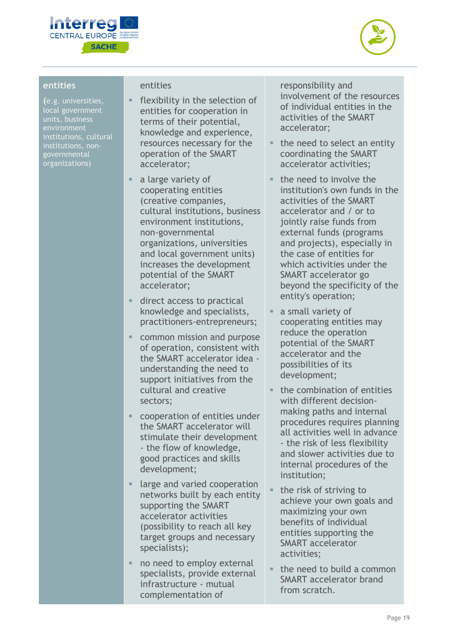



#### **entities**

**(**e.g. universities, local government institutions, cultural institutions, nongovernmental organizations)

#### entities

- flexibility in the selection of entities for cooperation in terms of their potential, knowledge and experience, resources necessary for the operation of the SMART accelerator;
- a large variety of cooperating entities (creative companies, cultural institutions, business environment institutions, non-governmental organizations, universities and local government units) increases the development potential of the SMART accelerator;
- direct access to practical knowledge and specialists, practitioners-entrepreneurs;
- common mission and purpose of operation, consistent with the SMART accelerator idea understanding the need to support initiatives from the cultural and creative sectors;
- cooperation of entities under the SMART accelerator will stimulate their development - the flow of knowledge, good practices and skills development;
- large and varied cooperation networks built by each entity supporting the SMART accelerator activities (possibility to reach all key target groups and necessary specialists);
- no need to employ external specialists, provide external infrastructure - mutual complementation of

responsibility and involvement of the resources of individual entities in the activities of the SMART accelerator;

- $\blacksquare$  the need to select an entity coordinating the SMART accelerator activities;
- the need to involve the institution's own funds in the activities of the SMART accelerator and / or to jointly raise funds from external funds (programs and projects), especially in the case of entities for which activities under the SMART accelerator go beyond the specificity of the entity's operation;
- a small variety of cooperating entities may reduce the operation potential of the SMART accelerator and the possibilities of its development;
- $\blacksquare$  the combination of entities with different decisionmaking paths and internal procedures requires planning all activities well in advance - the risk of less flexibility and slower activities due to internal procedures of the institution;
- the risk of striving to achieve your own goals and maximizing your own benefits of individual entities supporting the SMART accelerator activities;
- $\blacksquare$  the need to build a common SMART accelerator brand from scratch.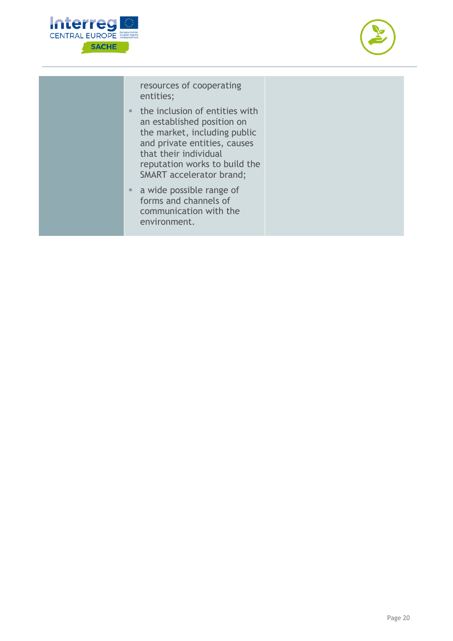



resources of cooperating entities;

- the inclusion of entities with an established position on the market, including public and private entities, causes that their individual reputation works to build the SMART accelerator brand;
- a wide possible range of forms and channels of communication with the environment.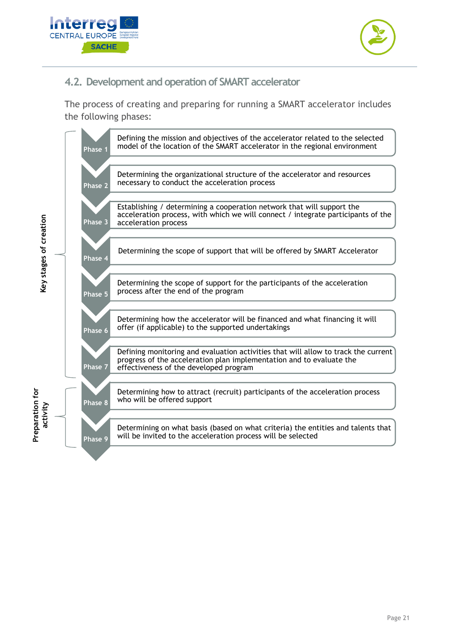



#### <span id="page-20-0"></span>**4.2. Development and operation of SMART accelerator**

The process of creating and preparing for running a SMART accelerator includes the following phases:

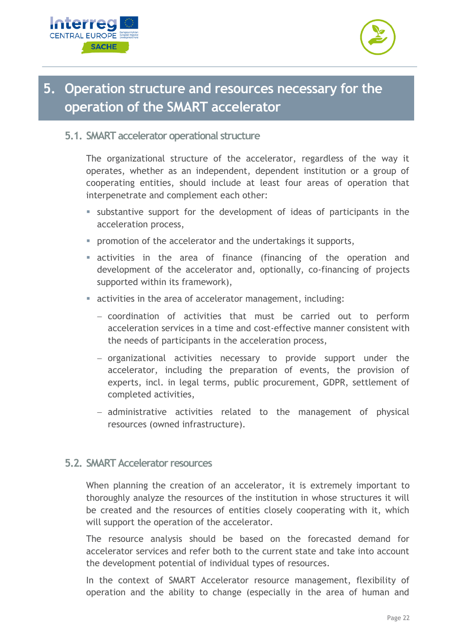



## <span id="page-21-0"></span>**5. Operation structure and resources necessary for the operation of the SMART accelerator**

#### <span id="page-21-1"></span>**5.1. SMART accelerator operational structure**

The organizational structure of the accelerator, regardless of the way it operates, whether as an independent, dependent institution or a group of cooperating entities, should include at least four areas of operation that interpenetrate and complement each other:

- substantive support for the development of ideas of participants in the acceleration process,
- promotion of the accelerator and the undertakings it supports,
- **Exercively** activities in the area of finance (financing of the operation and development of the accelerator and, optionally, co-financing of projects supported within its framework),
- activities in the area of accelerator management, including:
	- − coordination of activities that must be carried out to perform acceleration services in a time and cost-effective manner consistent with the needs of participants in the acceleration process,
	- − organizational activities necessary to provide support under the accelerator, including the preparation of events, the provision of experts, incl. in legal terms, public procurement, GDPR, settlement of completed activities,
	- − administrative activities related to the management of physical resources (owned infrastructure).

#### <span id="page-21-2"></span>**5.2. SMART Accelerator resources**

When planning the creation of an accelerator, it is extremely important to thoroughly analyze the resources of the institution in whose structures it will be created and the resources of entities closely cooperating with it, which will support the operation of the accelerator.

The resource analysis should be based on the forecasted demand for accelerator services and refer both to the current state and take into account the development potential of individual types of resources.

In the context of SMART Accelerator resource management, flexibility of operation and the ability to change (especially in the area of human and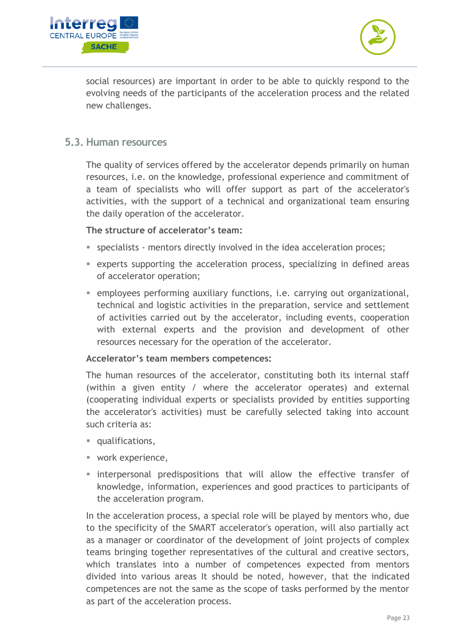



social resources) are important in order to be able to quickly respond to the evolving needs of the participants of the acceleration process and the related new challenges.

#### <span id="page-22-0"></span>**5.3. Human resources**

The quality of services offered by the accelerator depends primarily on human resources, i.e. on the knowledge, professional experience and commitment of a team of specialists who will offer support as part of the accelerator's activities, with the support of a technical and organizational team ensuring the daily operation of the accelerator.

#### **The structure of accelerator's team:**

- specialists mentors directly involved in the idea acceleration proces;
- experts supporting the acceleration process, specializing in defined areas of accelerator operation;
- **EXECT** employees performing auxiliary functions, i.e. carrying out organizational, technical and logistic activities in the preparation, service and settlement of activities carried out by the accelerator, including events, cooperation with external experts and the provision and development of other resources necessary for the operation of the accelerator.

#### **Accelerator's team members competences:**

The human resources of the accelerator, constituting both its internal staff (within a given entity / where the accelerator operates) and external (cooperating individual experts or specialists provided by entities supporting the accelerator's activities) must be carefully selected taking into account such criteria as:

- qualifications,
- work experience,
- **Exercise interpersonal predispositions that will allow the effective transfer of** knowledge, information, experiences and good practices to participants of the acceleration program.

In the acceleration process, a special role will be played by mentors who, due to the specificity of the SMART accelerator's operation, will also partially act as a manager or coordinator of the development of joint projects of complex teams bringing together representatives of the cultural and creative sectors, which translates into a number of competences expected from mentors divided into various areas It should be noted, however, that the indicated competences are not the same as the scope of tasks performed by the mentor as part of the acceleration process.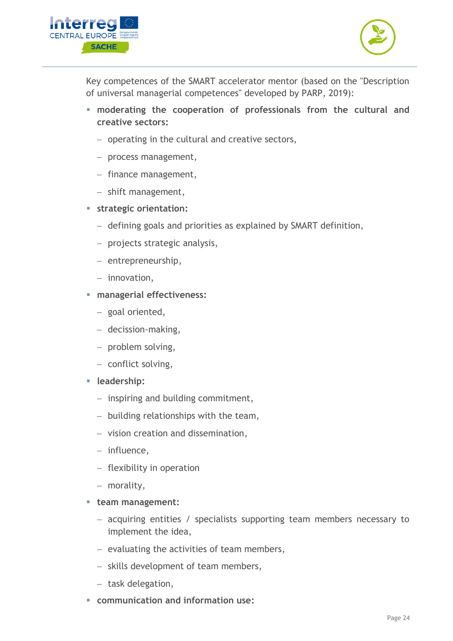



Key competences of the SMART accelerator mentor (based on the "Description of universal managerial competences" developed by PARP, 2019):

- **moderating the cooperation of professionals from the cultural and creative sectors:**
	- − operating in the cultural and creative sectors,
	- − process management,
	- − finance management,
	- − shift management,
- **strategic orientation:**
	- − defining goals and priorities as explained by SMART definition,
	- − projects strategic analysis,
	- − entrepreneurship,
	- − innovation,
- **managerial effectiveness:**
	- − goal oriented,
	- − decission-making,
	- − problem solving,
	- − conflict solving,
- **leadership:**
	- − inspiring and building commitment,
	- − building relationships with the team,
	- − vision creation and dissemination,
	- − influence,
	- − flexibility in operation
	- − morality,
- **team management:**
	- − acquiring entities / specialists supporting team members necessary to implement the idea,
	- − evaluating the activities of team members,
	- − skills development of team members,
	- − task delegation,
- **communication and information use:**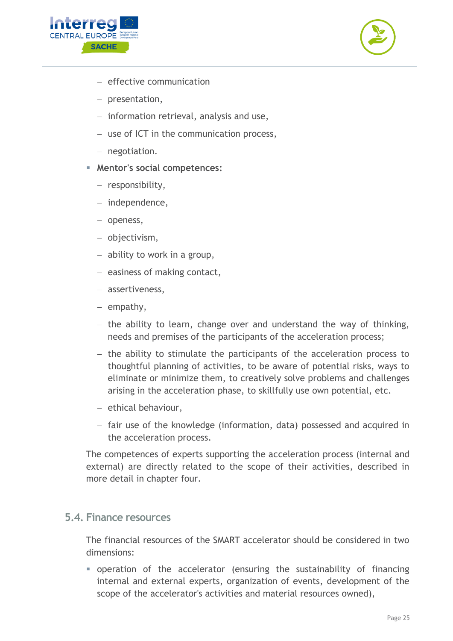



- − effective communication
- − presentation,
- − information retrieval, analysis and use,
- − use of ICT in the communication process,
- − negotiation.
- **Mentor's social competences:**
	- − responsibility,
	- − independence,
	- − openess,
	- − objectivism,
	- − ability to work in a group,
	- − easiness of making contact,
	- − assertiveness,
	- − empathy,
	- − the ability to learn, change over and understand the way of thinking, needs and premises of the participants of the acceleration process;
	- − the ability to stimulate the participants of the acceleration process to thoughtful planning of activities, to be aware of potential risks, ways to eliminate or minimize them, to creatively solve problems and challenges arising in the acceleration phase, to skillfully use own potential, etc.
	- − ethical behaviour,
	- − fair use of the knowledge (information, data) possessed and acquired in the acceleration process.

The competences of experts supporting the acceleration process (internal and external) are directly related to the scope of their activities, described in more detail in chapter four.

#### <span id="page-24-0"></span>**5.4. Finance resources**

The financial resources of the SMART accelerator should be considered in two dimensions:

▪ operation of the accelerator (ensuring the sustainability of financing internal and external experts, organization of events, development of the scope of the accelerator's activities and material resources owned),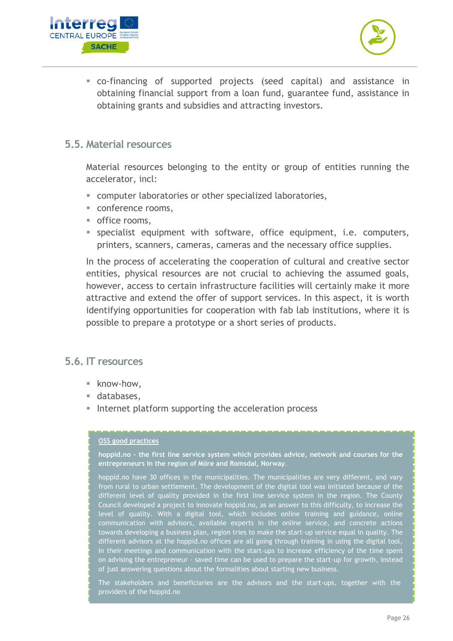



▪ co-financing of supported projects (seed capital) and assistance in obtaining financial support from a loan fund, guarantee fund, assistance in obtaining grants and subsidies and attracting investors.

#### <span id="page-25-0"></span>**5.5. Material resources**

Material resources belonging to the entity or group of entities running the accelerator, incl:

- computer laboratories or other specialized laboratories,
- conference rooms,
- office rooms,
- specialist equipment with software, office equipment, i.e. computers, printers, scanners, cameras, cameras and the necessary office supplies.

In the process of accelerating the cooperation of cultural and creative sector entities, physical resources are not crucial to achieving the assumed goals, however, access to certain infrastructure facilities will certainly make it more attractive and extend the offer of support services. In this aspect, it is worth identifying opportunities for cooperation with fab lab institutions, where it is possible to prepare a prototype or a short series of products.

#### <span id="page-25-1"></span>**5.6. IT resources**

- know-how.
- databases,
- Internet platform supporting the acceleration process

#### **OSS good practices**

**hoppid.no - the first line service system which provides advice, network and courses for the entrepreneurs in the region of Möre and Romsdal, Norway**.

hoppid.no have 30 offices in the municipalities. The municipalities are very different, and vary from rural to urban settlement. The development of the digital tool was initiated because of the different level of quality provided in the first line service system in the region. The County Council developed a project to innovate hoppid.no, as an answer to this difficulty, to increase the level of quality. With a digital tool, which includes online training and guidance, online communication with advisors, available experts in the online service, and concrete actions towards developing a business plan, region tries to make the start-up service equal in quality. The different advisors at the hoppid.no offices are all going through training in using the digital tool, in their meetings and communication with the start-ups to increase efficiency of the time spent on advising the entrepreneur - saved time can be used to prepare the start-up for growth, instead of just answering questions about the formalities about starting new business.

The stakeholders and beneficiaries are the advisors and the start-ups, together with the providers of the hoppid.no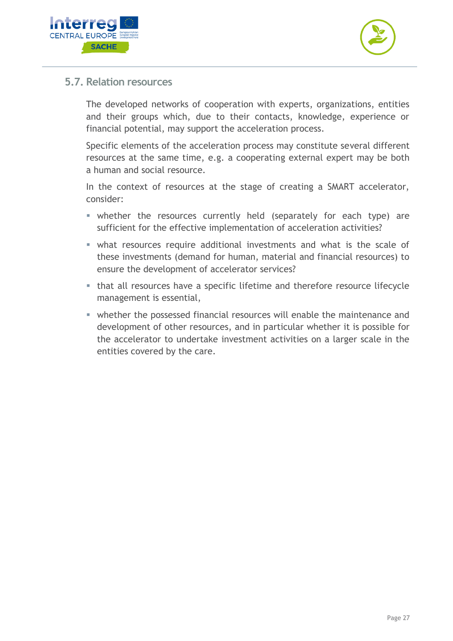



#### <span id="page-26-0"></span>**5.7. Relation resources**

The developed networks of cooperation with experts, organizations, entities and their groups which, due to their contacts, knowledge, experience or financial potential, may support the acceleration process.

Specific elements of the acceleration process may constitute several different resources at the same time, e.g. a cooperating external expert may be both a human and social resource.

In the context of resources at the stage of creating a SMART accelerator, consider:

- **Example 1** whether the resources currently held (separately for each type) are sufficient for the effective implementation of acceleration activities?
- **what resources require additional investments and what is the scale of** these investments (demand for human, material and financial resources) to ensure the development of accelerator services?
- that all resources have a specific lifetime and therefore resource lifecycle management is essential,
- **whether the possessed financial resources will enable the maintenance and** development of other resources, and in particular whether it is possible for the accelerator to undertake investment activities on a larger scale in the entities covered by the care.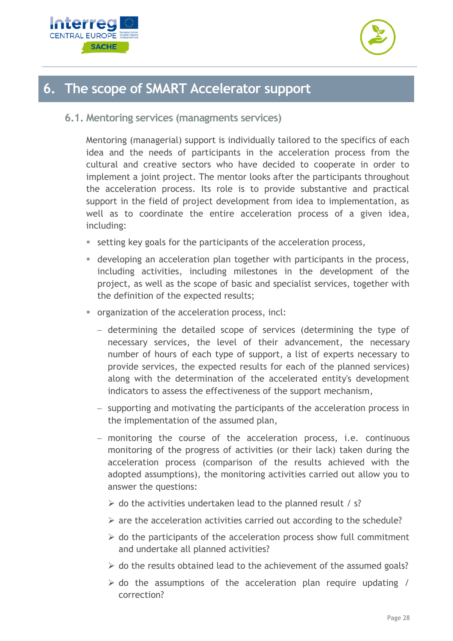



### <span id="page-27-0"></span>**6. The scope of SMART Accelerator support**

<span id="page-27-1"></span>**6.1. Mentoring services (managments services)**

Mentoring (managerial) support is individually tailored to the specifics of each idea and the needs of participants in the acceleration process from the cultural and creative sectors who have decided to cooperate in order to implement a joint project. The mentor looks after the participants throughout the acceleration process. Its role is to provide substantive and practical support in the field of project development from idea to implementation, as well as to coordinate the entire acceleration process of a given idea, including:

- setting key goals for the participants of the acceleration process,
- **EX** developing an acceleration plan together with participants in the process, including activities, including milestones in the development of the project, as well as the scope of basic and specialist services, together with the definition of the expected results;
- organization of the acceleration process, incl:
	- − determining the detailed scope of services (determining the type of necessary services, the level of their advancement, the necessary number of hours of each type of support, a list of experts necessary to provide services, the expected results for each of the planned services) along with the determination of the accelerated entity's development indicators to assess the effectiveness of the support mechanism,
	- − supporting and motivating the participants of the acceleration process in the implementation of the assumed plan,
	- − monitoring the course of the acceleration process, i.e. continuous monitoring of the progress of activities (or their lack) taken during the acceleration process (comparison of the results achieved with the adopted assumptions), the monitoring activities carried out allow you to answer the questions:
		- $\triangleright$  do the activities undertaken lead to the planned result / s?
		- $\triangleright$  are the acceleration activities carried out according to the schedule?
		- $\triangleright$  do the participants of the acceleration process show full commitment and undertake all planned activities?
		- $\triangleright$  do the results obtained lead to the achievement of the assumed goals?
		- $\triangleright$  do the assumptions of the acceleration plan require updating / correction?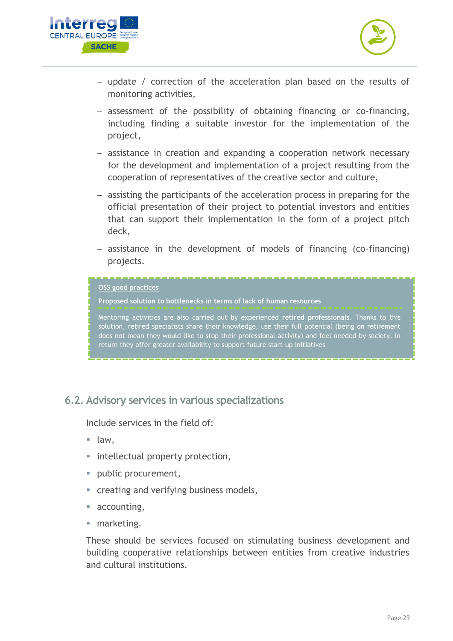



- − update / correction of the acceleration plan based on the results of monitoring activities,
- − assessment of the possibility of obtaining financing or co-financing, including finding a suitable investor for the implementation of the project,
- − assistance in creation and expanding a cooperation network necessary for the development and implementation of a project resulting from the cooperation of representatives of the creative sector and culture,
- − assisting the participants of the acceleration process in preparing for the official presentation of their project to potential investors and entities that can support their implementation in the form of a project pitch deck,
- − assistance in the development of models of financing (co-financing) projects.

| OSS good practices<br>Proposed solution to bottlenecks in terms of lack of human resources                                                                                                                                                                                                                                                                                                 |  |
|--------------------------------------------------------------------------------------------------------------------------------------------------------------------------------------------------------------------------------------------------------------------------------------------------------------------------------------------------------------------------------------------|--|
| Mentoring activities are also carried out by experienced retired professionals. Thanks to this<br>solution, retired specialists share their knowledge, use their full potential (being on retirement<br>does not mean they would like to stop their professional activity) and feel needed by society. In<br>return they offer greater availability to support future start-up initiatives |  |

#### <span id="page-28-0"></span>**6.2. Advisory services in various specializations**

Include services in the field of:

- $\blacksquare$  law.
- intellectual property protection,
- public procurement,
- **Exercise 1 creating and verifying business models,**
- accounting,
- marketing.

These should be services focused on stimulating business development and building cooperative relationships between entities from creative industries and cultural institutions.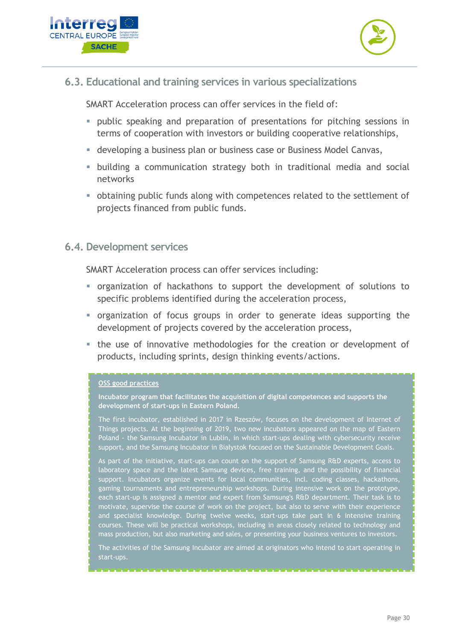



#### <span id="page-29-0"></span>**6.3. Educational and training services in various specializations**

SMART Acceleration process can offer services in the field of:

- **•** public speaking and preparation of presentations for pitching sessions in terms of cooperation with investors or building cooperative relationships,
- **EXECTEDE 13 Incredence is a business of the value of the Vielze** Canvas,
- **E** building a communication strategy both in traditional media and social networks
- obtaining public funds along with competences related to the settlement of projects financed from public funds.

#### <span id="page-29-1"></span>**6.4. Development services**

SMART Acceleration process can offer services including:

- organization of hackathons to support the development of solutions to specific problems identified during the acceleration process,
- organization of focus groups in order to generate ideas supporting the development of projects covered by the acceleration process,
- the use of innovative methodologies for the creation or development of products, including sprints, design thinking events/actions.

#### **OSS good practices**

**Incubator program that facilitates the acquisition of digital competences and supports the development of start-ups in Eastern Poland.**

The first incubator, established in 2017 in Rzeszów, focuses on the development of Internet of Things projects. At the beginning of 2019, two new incubators appeared on the map of Eastern Poland - the Samsung Incubator in Lublin, in which start-ups dealing with cybersecurity receive support, and the Samsung Incubator in Białystok focused on the Sustainable Development Goals.

As part of the initiative, start-ups can count on the support of Samsung R&D experts, access to laboratory space and the latest Samsung devices, free training, and the possibility of financial support. Incubators organize events for local communities, incl. coding classes, hackathons, gaming tournaments and entrepreneurship workshops. During intensive work on the prototype, each start-up is assigned a mentor and expert from Samsung's R&D department. Their task is to motivate, supervise the course of work on the project, but also to serve with their experience and specialist knowledge. During twelve weeks, start-ups take part in 6 intensive training courses. These will be practical workshops, including in areas closely related to technology and mass production, but also marketing and sales, or presenting your business ventures to investors.

The activities of the Samsung Incubator are aimed at originators who intend to start operating in start-ups.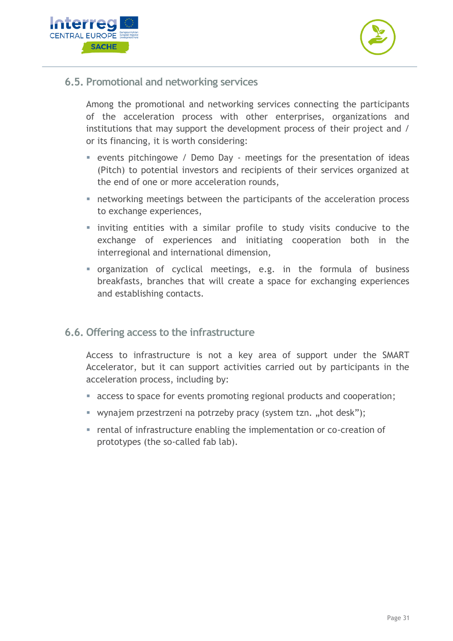



<span id="page-30-0"></span>**6.5. Promotional and networking services**

Among the promotional and networking services connecting the participants of the acceleration process with other enterprises, organizations and institutions that may support the development process of their project and / or its financing, it is worth considering:

- **EX EXENUTE:** events pitchingowe / Demo Day meetings for the presentation of ideas (Pitch) to potential investors and recipients of their services organized at the end of one or more acceleration rounds,
- **EX networking meetings between the participants of the acceleration process** to exchange experiences,
- **·** inviting entities with a similar profile to study visits conducive to the exchange of experiences and initiating cooperation both in the interregional and international dimension,
- organization of cyclical meetings, e.g. in the formula of business breakfasts, branches that will create a space for exchanging experiences and establishing contacts.
- <span id="page-30-1"></span>**6.6. Offering access to the infrastructure**

Access to infrastructure is not a key area of support under the SMART Accelerator, but it can support activities carried out by participants in the acceleration process, including by:

- access to space for events promoting regional products and cooperation;
- wynajem przestrzeni na potrzeby pracy (system tzn. "hot desk");
- rental of infrastructure enabling the implementation or co-creation of prototypes (the so-called fab lab).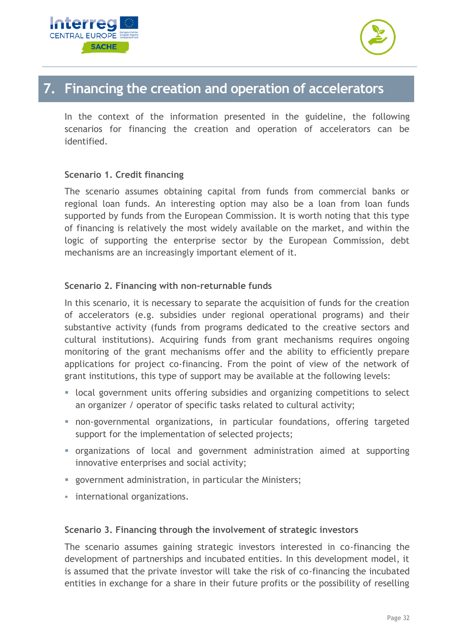



### <span id="page-31-0"></span>**7. Financing the creation and operation of accelerators**

In the context of the information presented in the guideline, the following scenarios for financing the creation and operation of accelerators can be identified.

#### **Scenario 1. Credit financing**

The scenario assumes obtaining capital from funds from commercial banks or regional loan funds. An interesting option may also be a loan from loan funds supported by funds from the European Commission. It is worth noting that this type of financing is relatively the most widely available on the market, and within the logic of supporting the enterprise sector by the European Commission, debt mechanisms are an increasingly important element of it.

#### **Scenario 2. Financing with non-returnable funds**

In this scenario, it is necessary to separate the acquisition of funds for the creation of accelerators (e.g. subsidies under regional operational programs) and their substantive activity (funds from programs dedicated to the creative sectors and cultural institutions). Acquiring funds from grant mechanisms requires ongoing monitoring of the grant mechanisms offer and the ability to efficiently prepare applications for project co-financing. From the point of view of the network of grant institutions, this type of support may be available at the following levels:

- **■** local government units offering subsidies and organizing competitions to select an organizer / operator of specific tasks related to cultural activity;
- **•** non-governmental organizations, in particular foundations, offering targeted support for the implementation of selected projects;
- organizations of local and government administration aimed at supporting innovative enterprises and social activity;
- government administration, in particular the Ministers;
- **·** international organizations.

#### **Scenario 3. Financing through the involvement of strategic investors**

The scenario assumes gaining strategic investors interested in co-financing the development of partnerships and incubated entities. In this development model, it is assumed that the private investor will take the risk of co-financing the incubated entities in exchange for a share in their future profits or the possibility of reselling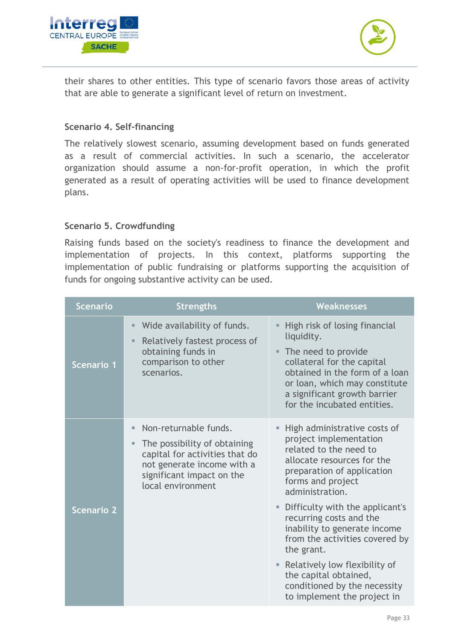



their shares to other entities. This type of scenario favors those areas of activity that are able to generate a significant level of return on investment.

#### **Scenario 4. Self-financing**

The relatively slowest scenario, assuming development based on funds generated as a result of commercial activities. In such a scenario, the accelerator organization should assume a non-for-profit operation, in which the profit generated as a result of operating activities will be used to finance development plans.

#### **Scenario 5. Crowdfunding**

Raising funds based on the society's readiness to finance the development and implementation of projects. In this context, platforms supporting the implementation of public fundraising or platforms supporting the acquisition of funds for ongoing substantive activity can be used.

| <b>Scenario</b>   | <b>Strengths</b>                                                                                                                                                                   | <b>Weaknesses</b>                                                                                                                                                                                                                                                                                                                                                                                                                                                  |
|-------------------|------------------------------------------------------------------------------------------------------------------------------------------------------------------------------------|--------------------------------------------------------------------------------------------------------------------------------------------------------------------------------------------------------------------------------------------------------------------------------------------------------------------------------------------------------------------------------------------------------------------------------------------------------------------|
| Scenario 1        | Wide availability of funds.<br>u,<br>Relatively fastest process of<br>ш<br>obtaining funds in<br>comparison to other<br>scenarios.                                                 | High risk of losing financial<br>ш<br>liquidity.<br>The need to provide<br>٠<br>collateral for the capital<br>obtained in the form of a loan<br>or loan, which may constitute<br>a significant growth barrier<br>for the incubated entities.                                                                                                                                                                                                                       |
| <b>Scenario 2</b> | Non-returnable funds.<br>u,<br>The possibility of obtaining<br>ш<br>capital for activities that do<br>not generate income with a<br>significant impact on the<br>local environment | High administrative costs of<br>project implementation<br>related to the need to<br>allocate resources for the<br>preparation of application<br>forms and project<br>administration.<br>Difficulty with the applicant's<br>ш<br>recurring costs and the<br>inability to generate income<br>from the activities covered by<br>the grant.<br>• Relatively low flexibility of<br>the capital obtained,<br>conditioned by the necessity<br>to implement the project in |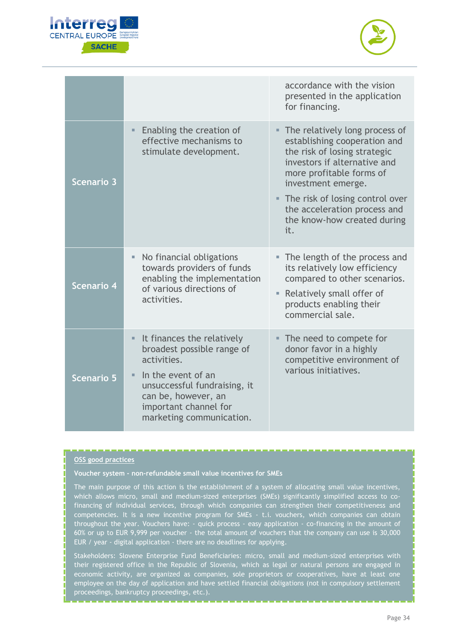



|                   |                                                                                                                                       | accordance with the vision<br>presented in the application<br>for financing.                                                                                                                                                                          |
|-------------------|---------------------------------------------------------------------------------------------------------------------------------------|-------------------------------------------------------------------------------------------------------------------------------------------------------------------------------------------------------------------------------------------------------|
| Scenario 3        | Enabling the creation of<br>$\blacksquare$<br>effective mechanisms to<br>stimulate development.                                       | • The relatively long process of<br>establishing cooperation and<br>the risk of losing strategic<br>investors if alternative and<br>more profitable forms of<br>investment emerge.<br>The risk of losing control over<br>the acceleration process and |
|                   |                                                                                                                                       | the know-how created during<br>it.                                                                                                                                                                                                                    |
| Scenario 4        | No financial obligations<br>ш<br>towards providers of funds<br>enabling the implementation<br>of various directions of<br>activities. | The length of the process and<br>its relatively low efficiency<br>compared to other scenarios.                                                                                                                                                        |
|                   |                                                                                                                                       | Relatively small offer of<br>ш<br>products enabling their<br>commercial sale.                                                                                                                                                                         |
| <b>Scenario 5</b> | It finances the relatively<br>broadest possible range of<br>activities.                                                               | • The need to compete for<br>donor favor in a highly<br>competitive environment of<br>various initiatives.                                                                                                                                            |
|                   | In the event of an<br>unsuccessful fundraising, it<br>can be, however, an<br>important channel for<br>marketing communication.        |                                                                                                                                                                                                                                                       |

#### **OSS good practices**

**Voucher system - non-refundable small value incentives for SMEs**

The main purpose of this action is the establishment of a system of allocating small value incentives, which allows micro, small and medium-sized enterprises (SMEs) significantly simplified access to cofinancing of individual services, through which companies can strengthen their competitiveness and competencies. It is a new incentive program for SMEs - t.i. vouchers, which companies can obtain throughout the year. Vouchers have: - quick process - easy application - co-financing in the amount of 60% or up to EUR 9,999 per voucher - the total amount of vouchers that the company can use is 30,000 EUR / year - digital application - there are no deadlines for applying.

Stakeholders: Slovene Enterprise Fund Beneficiaries: micro, small and medium-sized enterprises with their registered office in the Republic of Slovenia, which as legal or natural persons are engaged in economic activity, are organized as companies, sole proprietors or cooperatives, have at least one employee on the day of application and have settled financial obligations (not in compulsory settlement proceedings, bankruptcy proceedings, etc.).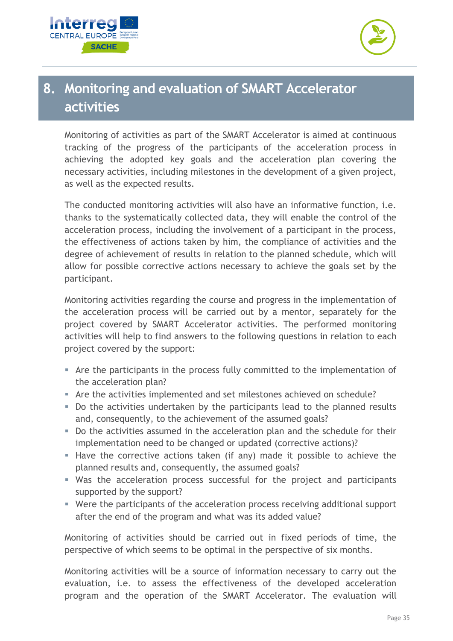



## <span id="page-34-0"></span>**8. Monitoring and evaluation of SMART Accelerator activities**

Monitoring of activities as part of the SMART Accelerator is aimed at continuous tracking of the progress of the participants of the acceleration process in achieving the adopted key goals and the acceleration plan covering the necessary activities, including milestones in the development of a given project, as well as the expected results.

The conducted monitoring activities will also have an informative function, i.e. thanks to the systematically collected data, they will enable the control of the acceleration process, including the involvement of a participant in the process, the effectiveness of actions taken by him, the compliance of activities and the degree of achievement of results in relation to the planned schedule, which will allow for possible corrective actions necessary to achieve the goals set by the participant.

Monitoring activities regarding the course and progress in the implementation of the acceleration process will be carried out by a mentor, separately for the project covered by SMART Accelerator activities. The performed monitoring activities will help to find answers to the following questions in relation to each project covered by the support:

- Are the participants in the process fully committed to the implementation of the acceleration plan?
- Are the activities implemented and set milestones achieved on schedule?
- Do the activities undertaken by the participants lead to the planned results and, consequently, to the achievement of the assumed goals?
- Do the activities assumed in the acceleration plan and the schedule for their implementation need to be changed or updated (corrective actions)?
- Have the corrective actions taken (if any) made it possible to achieve the planned results and, consequently, the assumed goals?
- Was the acceleration process successful for the project and participants supported by the support?
- Were the participants of the acceleration process receiving additional support after the end of the program and what was its added value?

Monitoring of activities should be carried out in fixed periods of time, the perspective of which seems to be optimal in the perspective of six months.

Monitoring activities will be a source of information necessary to carry out the evaluation, i.e. to assess the effectiveness of the developed acceleration program and the operation of the SMART Accelerator. The evaluation will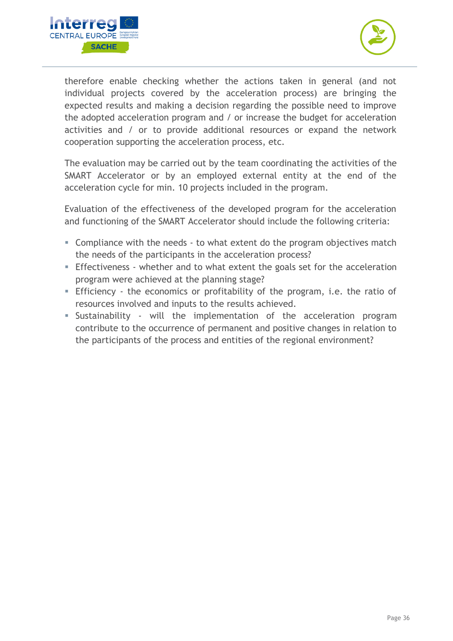



therefore enable checking whether the actions taken in general (and not individual projects covered by the acceleration process) are bringing the expected results and making a decision regarding the possible need to improve the adopted acceleration program and / or increase the budget for acceleration activities and / or to provide additional resources or expand the network cooperation supporting the acceleration process, etc.

The evaluation may be carried out by the team coordinating the activities of the SMART Accelerator or by an employed external entity at the end of the acceleration cycle for min. 10 projects included in the program.

Evaluation of the effectiveness of the developed program for the acceleration and functioning of the SMART Accelerator should include the following criteria:

- Compliance with the needs to what extent do the program objectives match the needs of the participants in the acceleration process?
- **Effectiveness** whether and to what extent the goals set for the acceleration program were achieved at the planning stage?
- **Efficiency** the economics or profitability of the program, i.e. the ratio of resources involved and inputs to the results achieved.
- **E** Sustainability will the implementation of the acceleration program contribute to the occurrence of permanent and positive changes in relation to the participants of the process and entities of the regional environment?